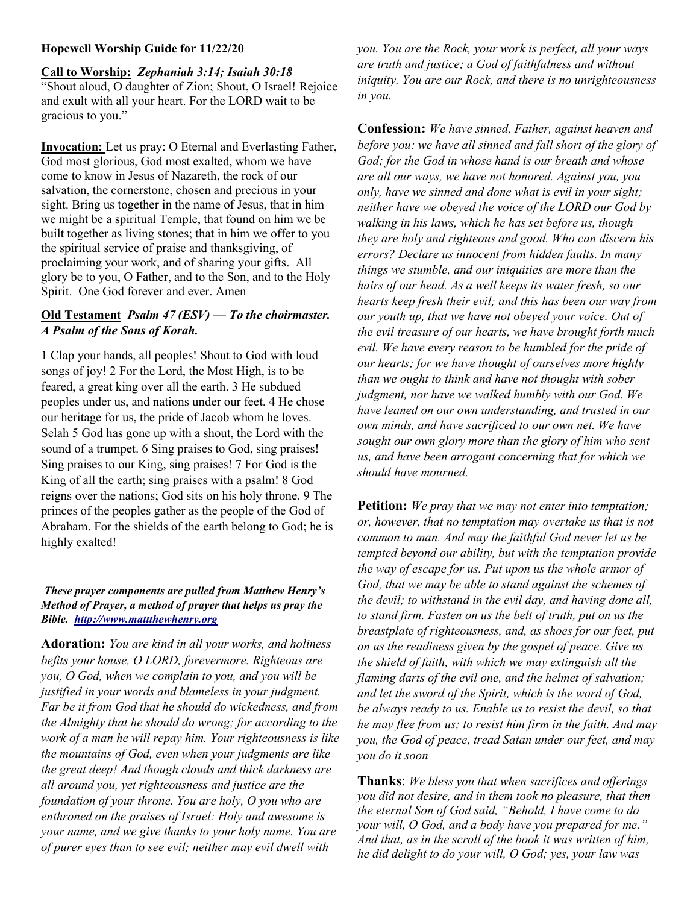### Hopewell Worship Guide for 11/22/20

Call to Worship: Zephaniah 3:14; Isaiah 30:18 "Shout aloud, O daughter of Zion; Shout, O Israel! Rejoice and exult with all your heart. For the LORD wait to be gracious to you."

Invocation: Let us pray: O Eternal and Everlasting Father, God most glorious, God most exalted, whom we have come to know in Jesus of Nazareth, the rock of our salvation, the cornerstone, chosen and precious in your sight. Bring us together in the name of Jesus, that in him we might be a spiritual Temple, that found on him we be built together as living stones; that in him we offer to you the spiritual service of praise and thanksgiving, of proclaiming your work, and of sharing your gifts. All glory be to you, O Father, and to the Son, and to the Holy Spirit. One God forever and ever. Amen

## Old Testament *Psalm 47 (ESV) — To the choirmaster.* A Psalm of the Sons of Korah.

1 Clap your hands, all peoples! Shout to God with loud songs of joy! 2 For the Lord, the Most High, is to be feared, a great king over all the earth. 3 He subdued peoples under us, and nations under our feet. 4 He chose our heritage for us, the pride of Jacob whom he loves. Selah 5 God has gone up with a shout, the Lord with the sound of a trumpet. 6 Sing praises to God, sing praises! Sing praises to our King, sing praises! 7 For God is the King of all the earth; sing praises with a psalm! 8 God reigns over the nations; God sits on his holy throne. 9 The princes of the peoples gather as the people of the God of Abraham. For the shields of the earth belong to God; he is highly exalted!

### These prayer components are pulled from Matthew Henry's Method of Prayer, a method of prayer that helps us pray the Bible. http://www.mattthewhenry.org

Adoration: You are kind in all your works, and holiness befits your house, O LORD, forevermore. Righteous are you, O God, when we complain to you, and you will be justified in your words and blameless in your judgment. Far be it from God that he should do wickedness, and from the Almighty that he should do wrong; for according to the work of a man he will repay him. Your righteousness is like the mountains of God, even when your judgments are like the great deep! And though clouds and thick darkness are all around you, yet righteousness and justice are the foundation of your throne. You are holy, O you who are enthroned on the praises of Israel: Holy and awesome is your name, and we give thanks to your holy name. You are of purer eyes than to see evil; neither may evil dwell with

you. You are the Rock, your work is perfect, all your ways are truth and justice; a God of faithfulness and without iniquity. You are our Rock, and there is no unrighteousness in you.

**Confession:** We have sinned, Father, against heaven and before you: we have all sinned and fall short of the glory of God; for the God in whose hand is our breath and whose are all our ways, we have not honored. Against you, you only, have we sinned and done what is evil in your sight; neither have we obeyed the voice of the LORD our God by walking in his laws, which he has set before us, though they are holy and righteous and good. Who can discern his errors? Declare us innocent from hidden faults. In many things we stumble, and our iniquities are more than the hairs of our head. As a well keeps its water fresh, so our hearts keep fresh their evil; and this has been our way from our youth up, that we have not obeyed your voice. Out of the evil treasure of our hearts, we have brought forth much evil. We have every reason to be humbled for the pride of our hearts; for we have thought of ourselves more highly than we ought to think and have not thought with sober judgment, nor have we walked humbly with our God. We have leaned on our own understanding, and trusted in our own minds, and have sacrificed to our own net. We have sought our own glory more than the glory of him who sent us, and have been arrogant concerning that for which we should have mourned.

**Petition:** We pray that we may not enter into temptation; or, however, that no temptation may overtake us that is not common to man. And may the faithful God never let us be tempted beyond our ability, but with the temptation provide the way of escape for us. Put upon us the whole armor of God, that we may be able to stand against the schemes of the devil; to withstand in the evil day, and having done all, to stand firm. Fasten on us the belt of truth, put on us the breastplate of righteousness, and, as shoes for our feet, put on us the readiness given by the gospel of peace. Give us the shield of faith, with which we may extinguish all the flaming darts of the evil one, and the helmet of salvation; and let the sword of the Spirit, which is the word of God, be always ready to us. Enable us to resist the devil, so that he may flee from us; to resist him firm in the faith. And may you, the God of peace, tread Satan under our feet, and may you do it soon

Thanks: We bless you that when sacrifices and offerings you did not desire, and in them took no pleasure, that then the eternal Son of God said, "Behold, I have come to do your will, O God, and a body have you prepared for me." And that, as in the scroll of the book it was written of him, he did delight to do your will, O God; yes, your law was